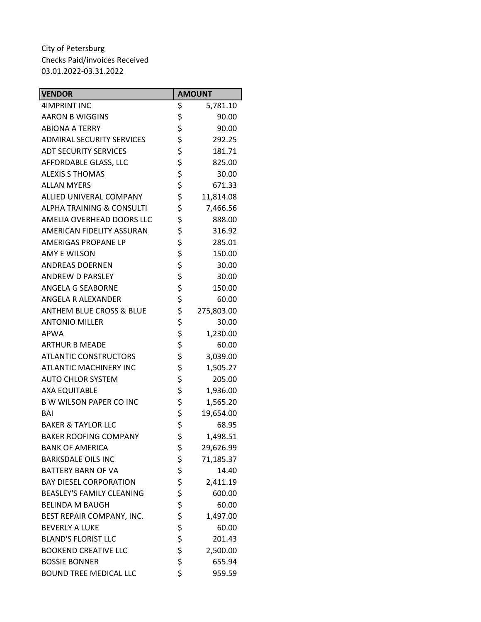| <b>VENDOR</b>                        | <b>AMOUNT</b>    |
|--------------------------------------|------------------|
| <b>4IMPRINT INC</b>                  | \$<br>5,781.10   |
| <b>AARON B WIGGINS</b>               | \$<br>90.00      |
| <b>ABIONA A TERRY</b>                | \$<br>90.00      |
| <b>ADMIRAL SECURITY SERVICES</b>     | \$<br>292.25     |
| <b>ADT SECURITY SERVICES</b>         | \$<br>181.71     |
| AFFORDABLE GLASS, LLC                | \$<br>825.00     |
| <b>ALEXIS S THOMAS</b>               | \$<br>30.00      |
| <b>ALLAN MYERS</b>                   | \$<br>671.33     |
| ALLIED UNIVERAL COMPANY              | \$<br>11,814.08  |
| <b>ALPHA TRAINING &amp; CONSULTI</b> | \$<br>7,466.56   |
| AMELIA OVERHEAD DOORS LLC            | \$<br>888.00     |
| AMERICAN FIDELITY ASSURAN            | \$<br>316.92     |
| AMERIGAS PROPANE LP                  | \$<br>285.01     |
| <b>AMY E WILSON</b>                  | \$<br>150.00     |
| <b>ANDREAS DOERNEN</b>               | \$<br>30.00      |
| <b>ANDREW D PARSLEY</b>              | \$<br>30.00      |
| ANGELA G SEABORNE                    | \$<br>150.00     |
| ANGELA R ALEXANDER                   | \$<br>60.00      |
| <b>ANTHEM BLUE CROSS &amp; BLUE</b>  | \$<br>275,803.00 |
| <b>ANTONIO MILLER</b>                | \$<br>30.00      |
| <b>APWA</b>                          | \$<br>1,230.00   |
| <b>ARTHUR B MEADE</b>                | \$<br>60.00      |
| <b>ATLANTIC CONSTRUCTORS</b>         | \$<br>3,039.00   |
| <b>ATLANTIC MACHINERY INC</b>        | \$<br>1,505.27   |
| <b>AUTO CHLOR SYSTEM</b>             | \$<br>205.00     |
| <b>AXA EQUITABLE</b>                 | \$<br>1,936.00   |
| <b>B W WILSON PAPER CO INC</b>       | \$<br>1,565.20   |
| BAI                                  | \$<br>19,654.00  |
| <b>BAKER &amp; TAYLOR LLC</b>        | \$<br>68.95      |
| <b>BAKER ROOFING COMPANY</b>         | \$<br>1,498.51   |
| <b>BANK OF AMERICA</b>               | \$<br>29,626.99  |
| <b>BARKSDALE OILS INC</b>            | \$<br>71,185.37  |
| <b>BATTERY BARN OF VA</b>            | \$<br>14.40      |
| <b>BAY DIESEL CORPORATION</b>        | \$<br>2,411.19   |
| <b>BEASLEY'S FAMILY CLEANING</b>     | \$<br>600.00     |
| <b>BELINDA M BAUGH</b>               | \$<br>60.00      |
| BEST REPAIR COMPANY, INC.            | \$<br>1,497.00   |
| <b>BEVERLY A LUKE</b>                | \$<br>60.00      |
| <b>BLAND'S FLORIST LLC</b>           | \$<br>201.43     |
| <b>BOOKEND CREATIVE LLC</b>          | \$<br>2,500.00   |
| <b>BOSSIE BONNER</b>                 | \$<br>655.94     |
| <b>BOUND TREE MEDICAL LLC</b>        | \$<br>959.59     |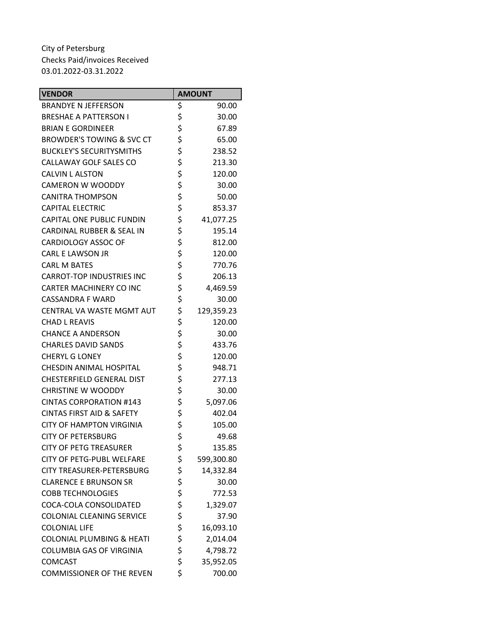| <b>VENDOR</b>                        | <b>AMOUNT</b>    |
|--------------------------------------|------------------|
| <b>BRANDYE N JEFFERSON</b>           | \$<br>90.00      |
| <b>BRESHAE A PATTERSON I</b>         | \$<br>30.00      |
| <b>BRIAN E GORDINEER</b>             | \$<br>67.89      |
| <b>BROWDER'S TOWING &amp; SVC CT</b> | \$<br>65.00      |
| <b>BUCKLEY'S SECURITYSMITHS</b>      | \$<br>238.52     |
| CALLAWAY GOLF SALES CO               | \$<br>213.30     |
| <b>CALVIN L ALSTON</b>               | \$<br>120.00     |
| <b>CAMERON W WOODDY</b>              | \$<br>30.00      |
| <b>CANITRA THOMPSON</b>              | \$<br>50.00      |
| <b>CAPITAL ELECTRIC</b>              | \$<br>853.37     |
| <b>CAPITAL ONE PUBLIC FUNDIN</b>     | \$<br>41,077.25  |
| CARDINAL RUBBER & SEAL IN            | \$<br>195.14     |
| <b>CARDIOLOGY ASSOC OF</b>           | \$<br>812.00     |
| <b>CARL E LAWSON JR</b>              | \$<br>120.00     |
| <b>CARL M BATES</b>                  | \$<br>770.76     |
| <b>CARROT-TOP INDUSTRIES INC</b>     | \$<br>206.13     |
| CARTER MACHINERY CO INC              | \$<br>4,469.59   |
| <b>CASSANDRA F WARD</b>              | \$<br>30.00      |
| CENTRAL VA WASTE MGMT AUT            | \$<br>129,359.23 |
| <b>CHAD L REAVIS</b>                 | \$<br>120.00     |
| <b>CHANCE A ANDERSON</b>             | \$<br>30.00      |
| <b>CHARLES DAVID SANDS</b>           | \$<br>433.76     |
| <b>CHERYL G LONEY</b>                | \$<br>120.00     |
| <b>CHESDIN ANIMAL HOSPITAL</b>       | \$<br>948.71     |
| CHESTERFIELD GENERAL DIST            | \$<br>277.13     |
| <b>CHRISTINE W WOODDY</b>            | \$<br>30.00      |
| <b>CINTAS CORPORATION #143</b>       | \$<br>5,097.06   |
| <b>CINTAS FIRST AID &amp; SAFETY</b> | \$<br>402.04     |
| <b>CITY OF HAMPTON VIRGINIA</b>      | \$<br>105.00     |
| <b>CITY OF PETERSBURG</b>            | \$<br>49.68      |
| <b>CITY OF PETG TREASURER</b>        | \$<br>135.85     |
| <b>CITY OF PETG-PUBL WELFARE</b>     | \$<br>599,300.80 |
| CITY TREASURER-PETERSBURG            | \$<br>14,332.84  |
| <b>CLARENCE E BRUNSON SR</b>         | \$<br>30.00      |
| <b>COBB TECHNOLOGIES</b>             | \$<br>772.53     |
| COCA-COLA CONSOLIDATED               | \$<br>1,329.07   |
| <b>COLONIAL CLEANING SERVICE</b>     | \$<br>37.90      |
| <b>COLONIAL LIFE</b>                 | \$<br>16,093.10  |
| <b>COLONIAL PLUMBING &amp; HEATI</b> | \$<br>2,014.04   |
| <b>COLUMBIA GAS OF VIRGINIA</b>      | \$<br>4,798.72   |
| <b>COMCAST</b>                       | \$<br>35,952.05  |
| <b>COMMISSIONER OF THE REVEN</b>     | \$<br>700.00     |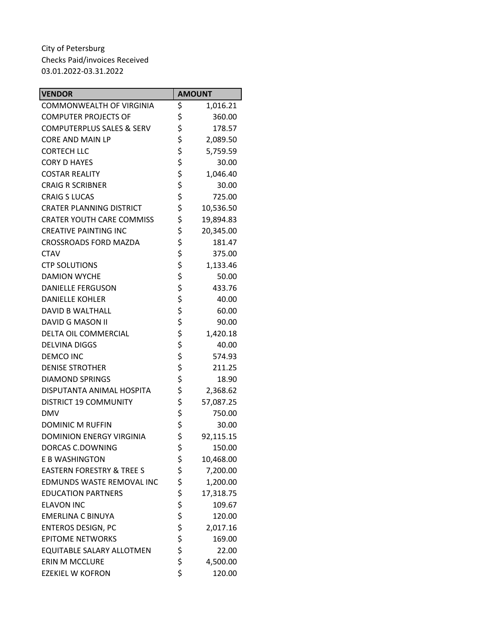| <b>VENDOR</b>                        | <b>AMOUNT</b>   |
|--------------------------------------|-----------------|
| COMMONWEALTH OF VIRGINIA             | \$<br>1,016.21  |
| <b>COMPUTER PROJECTS OF</b>          | \$<br>360.00    |
| <b>COMPUTERPLUS SALES &amp; SERV</b> | \$<br>178.57    |
| <b>CORE AND MAIN LP</b>              | \$<br>2,089.50  |
| <b>CORTECH LLC</b>                   | \$<br>5,759.59  |
| <b>CORY D HAYES</b>                  | \$<br>30.00     |
| <b>COSTAR REALITY</b>                | \$<br>1,046.40  |
| <b>CRAIG R SCRIBNER</b>              | \$<br>30.00     |
| <b>CRAIG S LUCAS</b>                 | \$<br>725.00    |
| <b>CRATER PLANNING DISTRICT</b>      | \$<br>10,536.50 |
| <b>CRATER YOUTH CARE COMMISS</b>     | \$<br>19,894.83 |
| <b>CREATIVE PAINTING INC</b>         | \$<br>20,345.00 |
| <b>CROSSROADS FORD MAZDA</b>         | \$<br>181.47    |
| <b>CTAV</b>                          | \$<br>375.00    |
| <b>CTP SOLUTIONS</b>                 | \$<br>1,133.46  |
| <b>DAMION WYCHE</b>                  | \$<br>50.00     |
| <b>DANIELLE FERGUSON</b>             | \$<br>433.76    |
| <b>DANIELLE KOHLER</b>               | \$<br>40.00     |
| <b>DAVID B WALTHALL</b>              | \$<br>60.00     |
| DAVID G MASON II                     | \$<br>90.00     |
| DELTA OIL COMMERCIAL                 | \$<br>1,420.18  |
| <b>DELVINA DIGGS</b>                 | \$<br>40.00     |
| <b>DEMCO INC</b>                     | \$<br>574.93    |
| <b>DENISE STROTHER</b>               | \$<br>211.25    |
| <b>DIAMOND SPRINGS</b>               | \$<br>18.90     |
| DISPUTANTA ANIMAL HOSPITA            | \$<br>2,368.62  |
| <b>DISTRICT 19 COMMUNITY</b>         | \$<br>57,087.25 |
| <b>DMV</b>                           | \$<br>750.00    |
| <b>DOMINIC M RUFFIN</b>              | \$<br>30.00     |
| <b>DOMINION ENERGY VIRGINIA</b>      | \$<br>92,115.15 |
| DORCAS C.DOWNING                     | \$<br>150.00    |
| <b>E B WASHINGTON</b>                | \$<br>10,468.00 |
| <b>EASTERN FORESTRY &amp; TREE S</b> | \$<br>7,200.00  |
| <b>EDMUNDS WASTE REMOVAL INC</b>     | \$<br>1,200.00  |
| <b>EDUCATION PARTNERS</b>            | \$<br>17,318.75 |
| <b>ELAVON INC</b>                    | \$<br>109.67    |
| <b>EMERLINA C BINUYA</b>             | \$<br>120.00    |
| <b>ENTEROS DESIGN, PC</b>            | \$<br>2,017.16  |
| <b>EPITOME NETWORKS</b>              | \$<br>169.00    |
| EQUITABLE SALARY ALLOTMEN            | \$<br>22.00     |
| <b>ERIN M MCCLURE</b>                | \$<br>4,500.00  |
| <b>EZEKIEL W KOFRON</b>              | \$<br>120.00    |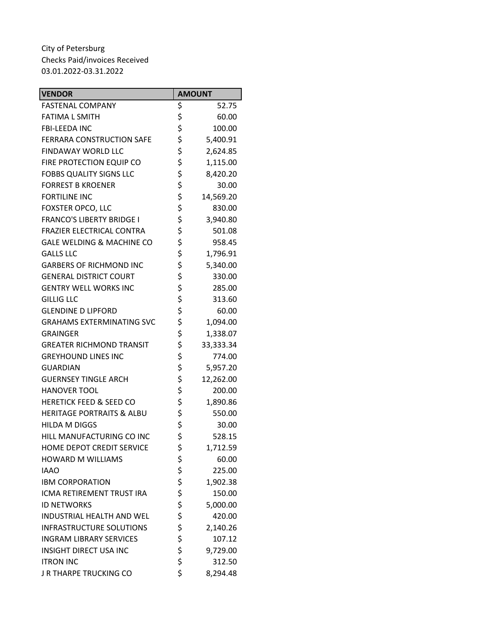| <b>VENDOR</b>                        | <b>AMOUNT</b>   |
|--------------------------------------|-----------------|
| <b>FASTENAL COMPANY</b>              | \$<br>52.75     |
| <b>FATIMA L SMITH</b>                | \$<br>60.00     |
| <b>FBI-LEEDA INC</b>                 | \$<br>100.00    |
| <b>FERRARA CONSTRUCTION SAFE</b>     | \$<br>5,400.91  |
| <b>FINDAWAY WORLD LLC</b>            | \$<br>2,624.85  |
| FIRE PROTECTION EQUIP CO             | \$<br>1,115.00  |
| <b>FOBBS QUALITY SIGNS LLC</b>       | \$<br>8,420.20  |
| <b>FORREST B KROENER</b>             | \$<br>30.00     |
| <b>FORTILINE INC</b>                 | \$<br>14,569.20 |
| <b>FOXSTER OPCO, LLC</b>             | \$<br>830.00    |
| <b>FRANCO'S LIBERTY BRIDGE I</b>     | \$<br>3,940.80  |
| FRAZIER ELECTRICAL CONTRA            | \$<br>501.08    |
| GALE WELDING & MACHINE CO            | \$<br>958.45    |
| <b>GALLS LLC</b>                     | \$<br>1,796.91  |
| <b>GARBERS OF RICHMOND INC</b>       | \$<br>5,340.00  |
| <b>GENERAL DISTRICT COURT</b>        | \$<br>330.00    |
| <b>GENTRY WELL WORKS INC</b>         | \$<br>285.00    |
| <b>GILLIG LLC</b>                    | \$<br>313.60    |
| <b>GLENDINE D LIPFORD</b>            | \$<br>60.00     |
| <b>GRAHAMS EXTERMINATING SVC</b>     | \$<br>1,094.00  |
| <b>GRAINGER</b>                      | \$<br>1,338.07  |
| <b>GREATER RICHMOND TRANSIT</b>      | \$<br>33,333.34 |
| <b>GREYHOUND LINES INC</b>           | \$<br>774.00    |
| <b>GUARDIAN</b>                      | \$<br>5,957.20  |
| <b>GUERNSEY TINGLE ARCH</b>          | \$<br>12,262.00 |
| <b>HANOVER TOOL</b>                  | \$<br>200.00    |
| <b>HERETICK FEED &amp; SEED CO</b>   | \$<br>1,890.86  |
| <b>HERITAGE PORTRAITS &amp; ALBU</b> | \$<br>550.00    |
| <b>HILDA M DIGGS</b>                 | \$<br>30.00     |
| HILL MANUFACTURING CO INC            | \$<br>528.15    |
| HOME DEPOT CREDIT SERVICE            | \$<br>1,712.59  |
| <b>HOWARD M WILLIAMS</b>             | \$<br>60.00     |
| <b>IAAO</b>                          | \$<br>225.00    |
| <b>IBM CORPORATION</b>               | \$<br>1,902.38  |
| <b>ICMA RETIREMENT TRUST IRA</b>     | \$<br>150.00    |
| <b>ID NETWORKS</b>                   | \$<br>5,000.00  |
| <b>INDUSTRIAL HEALTH AND WEL</b>     | \$<br>420.00    |
| <b>INFRASTRUCTURE SOLUTIONS</b>      | \$<br>2,140.26  |
| <b>INGRAM LIBRARY SERVICES</b>       | \$<br>107.12    |
| <b>INSIGHT DIRECT USA INC</b>        | \$<br>9,729.00  |
| <b>ITRON INC</b>                     | \$<br>312.50    |
| J R THARPE TRUCKING CO               | \$<br>8,294.48  |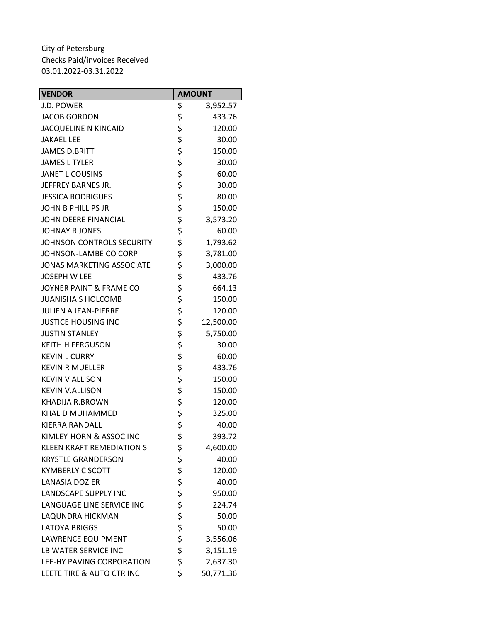| <b>VENDOR</b>                    |          | <b>AMOUNT</b> |
|----------------------------------|----------|---------------|
| J.D. POWER                       | \$       | 3,952.57      |
| <b>JACOB GORDON</b>              | \$       | 433.76        |
| <b>JACQUELINE N KINCAID</b>      | \$       | 120.00        |
| <b>JAKAEL LEE</b>                | \$       | 30.00         |
| <b>JAMES D.BRITT</b>             | \$       | 150.00        |
| <b>JAMES L TYLER</b>             | \$       | 30.00         |
| <b>JANET L COUSINS</b>           | \$       | 60.00         |
| JEFFREY BARNES JR.               | \$       | 30.00         |
| <b>JESSICA RODRIGUES</b>         | \$       | 80.00         |
| <b>JOHN B PHILLIPS JR</b>        | \$       | 150.00        |
| JOHN DEERE FINANCIAL             | \$       | 3,573.20      |
| <b>JOHNAY R JONES</b>            | \$       | 60.00         |
| JOHNSON CONTROLS SECURITY        | \$       | 1,793.62      |
| JOHNSON-LAMBE CO CORP            | \$       | 3,781.00      |
| <b>JONAS MARKETING ASSOCIATE</b> | \$       | 3,000.00      |
| <b>JOSEPH W LEE</b>              | \$       | 433.76        |
| JOYNER PAINT & FRAME CO          | \$       | 664.13        |
| <b>JUANISHA S HOLCOMB</b>        | \$       | 150.00        |
| <b>JULIEN A JEAN-PIERRE</b>      | \$       | 120.00        |
| <b>JUSTICE HOUSING INC</b>       | \$       | 12,500.00     |
| <b>JUSTIN STANLEY</b>            | \$       | 5,750.00      |
| <b>KEITH H FERGUSON</b>          | \$       | 30.00         |
| <b>KEVIN L CURRY</b>             | \$       | 60.00         |
| <b>KEVIN R MUELLER</b>           | \$       | 433.76        |
| <b>KEVIN V ALLISON</b>           | \$       | 150.00        |
| <b>KEVIN V.ALLISON</b>           | \$       | 150.00        |
| <b>KHADIJA R.BROWN</b>           | \$       | 120.00        |
| <b>KHALID MUHAMMED</b>           | \$       | 325.00        |
| <b>KIERRA RANDALL</b>            | \$<br>\$ | 40.00         |
| KIMLEY-HORN & ASSOC INC          |          | 393.72        |
| <b>KLEEN KRAFT REMEDIATION S</b> | \$       | 4,600.00      |
| <b>KRYSTLE GRANDERSON</b>        | \$       | 40.00         |
| <b>KYMBERLY C SCOTT</b>          | \$       | 120.00        |
| <b>LANASIA DOZIER</b>            | \$       | 40.00         |
| <b>LANDSCAPE SUPPLY INC</b>      | \$       | 950.00        |
| LANGUAGE LINE SERVICE INC        | \$       | 224.74        |
| LAQUNDRA HICKMAN                 | \$       | 50.00         |
| <b>LATOYA BRIGGS</b>             | \$       | 50.00         |
| <b>LAWRENCE EQUIPMENT</b>        | \$       | 3,556.06      |
| LB WATER SERVICE INC             | \$       | 3,151.19      |
| LEE-HY PAVING CORPORATION        | \$       | 2,637.30      |
| LEETE TIRE & AUTO CTR INC        | \$       | 50,771.36     |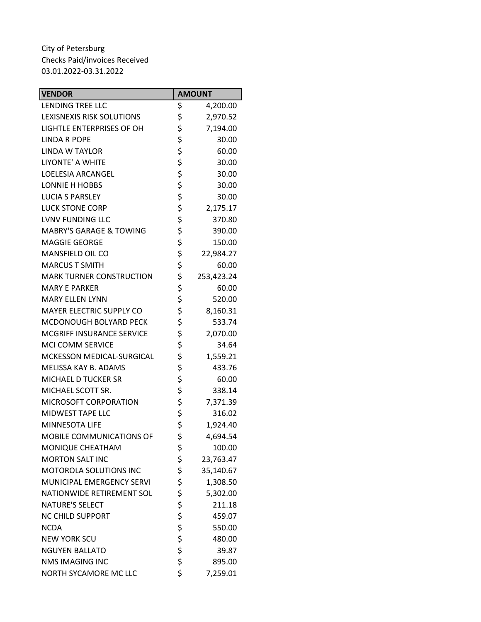| <b>VENDOR</b>                      |          | <b>AMOUNT</b> |
|------------------------------------|----------|---------------|
| LENDING TREE LLC                   | \$       | 4,200.00      |
| LEXISNEXIS RISK SOLUTIONS          | \$       | 2,970.52      |
| LIGHTLE ENTERPRISES OF OH          | \$       | 7,194.00      |
| <b>LINDA R POPE</b>                | \$       | 30.00         |
| <b>LINDA W TAYLOR</b>              | \$\$\$   | 60.00         |
| LIYONTE' A WHITE                   |          | 30.00         |
| LOELESIA ARCANGEL                  |          | 30.00         |
| <b>LONNIE H HOBBS</b>              | \$       | 30.00         |
| <b>LUCIA S PARSLEY</b>             | \$       | 30.00         |
| <b>LUCK STONE CORP</b>             | \$       | 2,175.17      |
| LVNV FUNDING LLC                   | \$<br>\$ | 370.80        |
| <b>MABRY'S GARAGE &amp; TOWING</b> |          | 390.00        |
| <b>MAGGIE GEORGE</b>               | \$       | 150.00        |
| <b>MANSFIELD OIL CO</b>            | \$       | 22,984.27     |
| <b>MARCUS T SMITH</b>              | \$       | 60.00         |
| <b>MARK TURNER CONSTRUCTION</b>    | \$       | 253,423.24    |
| <b>MARY E PARKER</b>               | \$       | 60.00         |
| <b>MARY ELLEN LYNN</b>             | \$       | 520.00        |
| <b>MAYER ELECTRIC SUPPLY CO</b>    | \$       | 8,160.31      |
| MCDONOUGH BOLYARD PECK             | \$       | 533.74        |
| MCGRIFF INSURANCE SERVICE          | \$       | 2,070.00      |
| <b>MCI COMM SERVICE</b>            | \$       | 34.64         |
| MCKESSON MEDICAL-SURGICAL          | \$       | 1,559.21      |
| MELISSA KAY B. ADAMS               | \$       | 433.76        |
| MICHAEL D TUCKER SR                | \$       | 60.00         |
| MICHAEL SCOTT SR.                  | \$       | 338.14        |
| MICROSOFT CORPORATION              | \$       | 7,371.39      |
| <b>MIDWEST TAPE LLC</b>            | \$\$\$   | 316.02        |
| MINNESOTA LIFE                     |          | 1,924.40      |
| MOBILE COMMUNICATIONS OF           |          | 4,694.54      |
| MONIQUE CHEATHAM                   | \$       | 100.00        |
| <b>MORTON SALT INC</b>             | \$       | 23,763.47     |
| <b>MOTOROLA SOLUTIONS INC</b>      | \$       | 35,140.67     |
| MUNICIPAL EMERGENCY SERVI          | \$       | 1,308.50      |
| NATIONWIDE RETIREMENT SOL          | \$       | 5,302.00      |
| <b>NATURE'S SELECT</b>             | \$\$\$   | 211.18        |
| <b>NC CHILD SUPPORT</b>            |          | 459.07        |
| <b>NCDA</b>                        |          | 550.00        |
| <b>NEW YORK SCU</b>                | \$       | 480.00        |
| <b>NGUYEN BALLATO</b>              | \$       | 39.87         |
| <b>NMS IMAGING INC</b>             | \$       | 895.00        |
| NORTH SYCAMORE MC LLC              | \$       | 7,259.01      |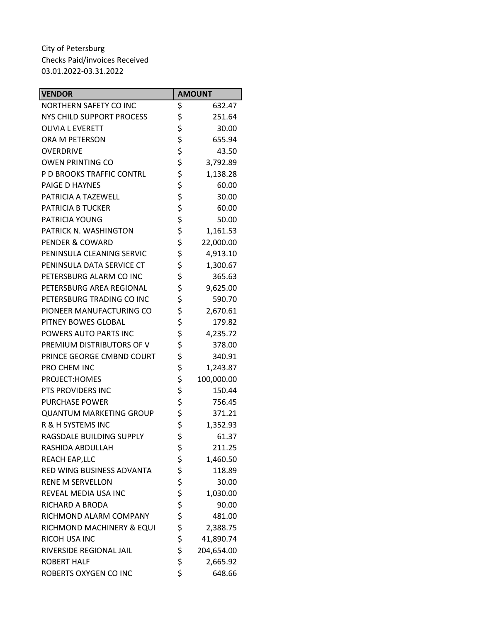| <b>VENDOR</b>                  | <b>AMOUNT</b>    |
|--------------------------------|------------------|
| NORTHERN SAFETY CO INC         | \$<br>632.47     |
| NYS CHILD SUPPORT PROCESS      | \$<br>251.64     |
| <b>OLIVIA L EVERETT</b>        | \$<br>30.00      |
| ORA M PETERSON                 | \$<br>655.94     |
| <b>OVERDRIVE</b>               | \$<br>43.50      |
| <b>OWEN PRINTING CO</b>        | \$<br>3,792.89   |
| P D BROOKS TRAFFIC CONTRL      | \$<br>1,138.28   |
| <b>PAIGE D HAYNES</b>          | \$<br>60.00      |
| PATRICIA A TAZEWELL            | \$<br>30.00      |
| <b>PATRICIA B TUCKER</b>       | \$<br>60.00      |
| PATRICIA YOUNG                 | \$<br>50.00      |
| PATRICK N. WASHINGTON          | \$<br>1,161.53   |
| <b>PENDER &amp; COWARD</b>     | \$<br>22,000.00  |
| PENINSULA CLEANING SERVIC      | \$<br>4,913.10   |
| PENINSULA DATA SERVICE CT      | \$<br>1,300.67   |
| PETERSBURG ALARM CO INC        | \$<br>365.63     |
| PETERSBURG AREA REGIONAL       | \$<br>9,625.00   |
| PETERSBURG TRADING CO INC      | \$<br>590.70     |
| PIONEER MANUFACTURING CO       | \$<br>2,670.61   |
| PITNEY BOWES GLOBAL            | \$<br>179.82     |
| POWERS AUTO PARTS INC          | \$<br>4,235.72   |
| PREMIUM DISTRIBUTORS OF V      | \$<br>378.00     |
| PRINCE GEORGE CMBND COURT      | \$<br>340.91     |
| PRO CHEM INC                   | \$<br>1,243.87   |
| PROJECT: HOMES                 | \$<br>100,000.00 |
| PTS PROVIDERS INC              | \$<br>150.44     |
| <b>PURCHASE POWER</b>          | \$<br>756.45     |
| <b>QUANTUM MARKETING GROUP</b> | \$<br>371.21     |
| R & H SYSTEMS INC              | \$<br>1,352.93   |
| RAGSDALE BUILDING SUPPLY       | \$<br>61.37      |
| RASHIDA ABDULLAH               | \$<br>211.25     |
| REACH EAP, LLC                 | \$<br>1,460.50   |
| RED WING BUSINESS ADVANTA      | \$<br>118.89     |
| <b>RENE M SERVELLON</b>        | \$<br>30.00      |
| REVEAL MEDIA USA INC           | \$<br>1,030.00   |
| RICHARD A BRODA                | \$<br>90.00      |
| RICHMOND ALARM COMPANY         | \$<br>481.00     |
| RICHMOND MACHINERY & EQUI      | \$<br>2,388.75   |
| <b>RICOH USA INC</b>           | \$<br>41,890.74  |
| RIVERSIDE REGIONAL JAIL        | \$<br>204,654.00 |
| <b>ROBERT HALF</b>             | \$<br>2,665.92   |
| ROBERTS OXYGEN CO INC          | \$<br>648.66     |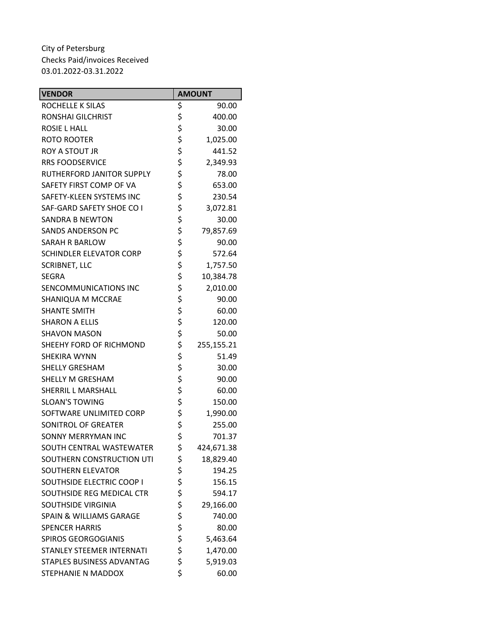| <b>VENDOR</b>                    | <b>AMOUNT</b>    |
|----------------------------------|------------------|
| ROCHELLE K SILAS                 | \$<br>90.00      |
| RONSHAI GILCHRIST                | \$<br>400.00     |
| ROSIE L HALL                     | \$<br>30.00      |
| <b>ROTO ROOTER</b>               | \$<br>1,025.00   |
| ROY A STOUT JR                   | \$<br>441.52     |
| <b>RRS FOODSERVICE</b>           | \$<br>2,349.93   |
| RUTHERFORD JANITOR SUPPLY        | \$<br>78.00      |
| SAFETY FIRST COMP OF VA          | \$<br>653.00     |
| SAFETY-KLEEN SYSTEMS INC         | \$<br>230.54     |
| SAF-GARD SAFETY SHOE CO I        | \$<br>3,072.81   |
| <b>SANDRA B NEWTON</b>           | \$<br>30.00      |
| <b>SANDS ANDERSON PC</b>         | \$<br>79,857.69  |
| SARAH R BARLOW                   | \$<br>90.00      |
| SCHINDLER ELEVATOR CORP          | \$<br>572.64     |
| <b>SCRIBNET, LLC</b>             | \$<br>1,757.50   |
| <b>SEGRA</b>                     | \$<br>10,384.78  |
| SENCOMMUNICATIONS INC            | \$<br>2,010.00   |
| SHANIQUA M MCCRAE                | \$<br>90.00      |
| <b>SHANTE SMITH</b>              | \$<br>60.00      |
| <b>SHARON A ELLIS</b>            | \$<br>120.00     |
| <b>SHAVON MASON</b>              | \$<br>50.00      |
| SHEEHY FORD OF RICHMOND          | \$<br>255,155.21 |
| <b>SHEKIRA WYNN</b>              | \$<br>51.49      |
| <b>SHELLY GRESHAM</b>            | \$<br>30.00      |
| SHELLY M GRESHAM                 | \$<br>90.00      |
| SHERRIL L MARSHALL               | \$<br>60.00      |
| <b>SLOAN'S TOWING</b>            | \$<br>150.00     |
| SOFTWARE UNLIMITED CORP          | \$<br>1,990.00   |
| SONITROL OF GREATER              | \$<br>255.00     |
| SONNY MERRYMAN INC               | \$<br>701.37     |
| SOUTH CENTRAL WASTEWATER         | \$<br>424,671.38 |
| SOUTHERN CONSTRUCTION UTI        | \$<br>18,829.40  |
| <b>SOUTHERN ELEVATOR</b>         | \$<br>194.25     |
| SOUTHSIDE ELECTRIC COOP I        | \$<br>156.15     |
| SOUTHSIDE REG MEDICAL CTR        | \$<br>594.17     |
| SOUTHSIDE VIRGINIA               | \$<br>29,166.00  |
| SPAIN & WILLIAMS GARAGE          | \$<br>740.00     |
| <b>SPENCER HARRIS</b>            | \$<br>80.00      |
| <b>SPIROS GEORGOGIANIS</b>       | \$<br>5,463.64   |
| <b>STANLEY STEEMER INTERNATI</b> | \$<br>1,470.00   |
| STAPLES BUSINESS ADVANTAG        | \$<br>5,919.03   |
| STEPHANIE N MADDOX               | \$<br>60.00      |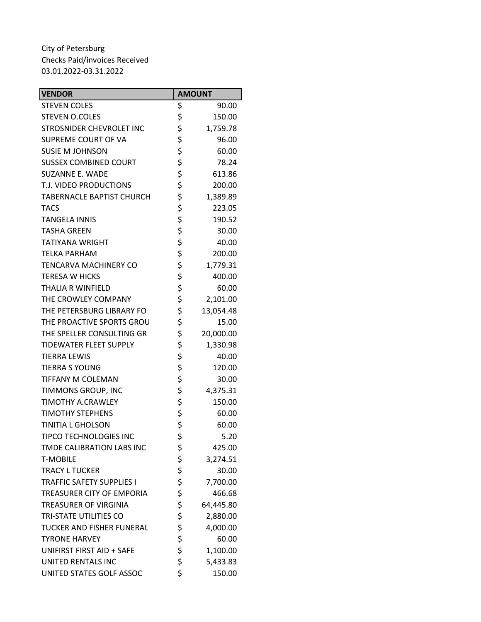| <b>VENDOR</b>                    |          | <b>AMOUNT</b> |
|----------------------------------|----------|---------------|
| <b>STEVEN COLES</b>              | \$       | 90.00         |
| <b>STEVEN O.COLES</b>            | \$       | 150.00        |
| STROSNIDER CHEVROLET INC         | \$       | 1,759.78      |
| <b>SUPREME COURT OF VA</b>       | \$       | 96.00         |
| <b>SUSIE M JOHNSON</b>           | \$       | 60.00         |
| <b>SUSSEX COMBINED COURT</b>     | \$       | 78.24         |
| <b>SUZANNE E. WADE</b>           | \$       | 613.86        |
| T.J. VIDEO PRODUCTIONS           | \$       | 200.00        |
| TABERNACLE BAPTIST CHURCH        | \$       | 1,389.89      |
| <b>TACS</b>                      | \$<br>\$ | 223.05        |
| <b>TANGELA INNIS</b>             |          | 190.52        |
| <b>TASHA GREEN</b>               | \$       | 30.00         |
| <b>TATIYANA WRIGHT</b>           | \$       | 40.00         |
| <b>TELKA PARHAM</b>              | \$       | 200.00        |
| <b>TENCARVA MACHINERY CO</b>     | \$       | 1,779.31      |
| <b>TERESA W HICKS</b>            | \$       | 400.00        |
| <b>THALIA R WINFIELD</b>         | \$       | 60.00         |
| THE CROWLEY COMPANY              | \$       | 2,101.00      |
| THE PETERSBURG LIBRARY FO        | \$       | 13,054.48     |
| THE PROACTIVE SPORTS GROU        | \$       | 15.00         |
| THE SPELLER CONSULTING GR        | \$       | 20,000.00     |
| <b>TIDEWATER FLEET SUPPLY</b>    | \$       | 1,330.98      |
| <b>TIERRA LEWIS</b>              | \$       | 40.00         |
| <b>TIERRA S YOUNG</b>            | \$       | 120.00        |
| TIFFANY M COLEMAN                | \$       | 30.00         |
| TIMMONS GROUP, INC               | \$       | 4,375.31      |
| <b>TIMOTHY A.CRAWLEY</b>         | \$       | 150.00        |
| <b>TIMOTHY STEPHENS</b>          | \$       | 60.00         |
| <b>TINITIA L GHOLSON</b>         | \$<br>\$ | 60.00         |
| TIPCO TECHNOLOGIES INC           |          | 5.20          |
| TMDE CALIBRATION LABS INC        | \$       | 425.00        |
| <b>T-MOBILE</b>                  | \$       | 3,274.51      |
| <b>TRACY L TUCKER</b>            | \$       | 30.00         |
| <b>TRAFFIC SAFETY SUPPLIES I</b> | \$       | 7,700.00      |
| TREASURER CITY OF EMPORIA        | \$       | 466.68        |
| TREASURER OF VIRGINIA            | \$       | 64,445.80     |
| TRI-STATE UTILITIES CO           | \$       | 2,880.00      |
| <b>TUCKER AND FISHER FUNERAL</b> | \$       | 4,000.00      |
| <b>TYRONE HARVEY</b>             | \$       | 60.00         |
| UNIFIRST FIRST AID + SAFE        | \$       | 1,100.00      |
| UNITED RENTALS INC               | \$       | 5,433.83      |
| UNITED STATES GOLF ASSOC         | \$       | 150.00        |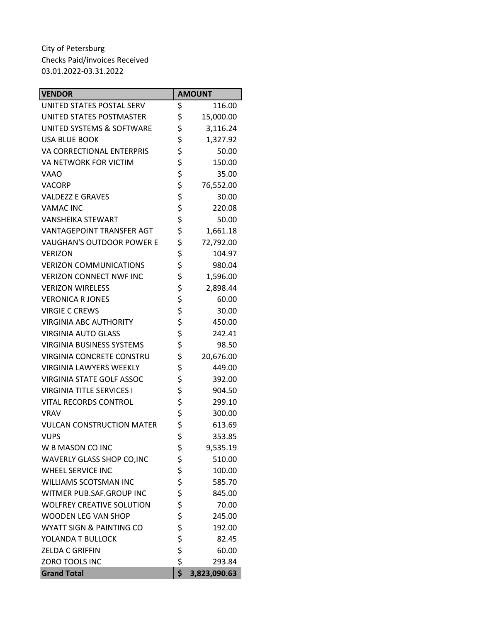| <b>VENDOR</b>                     | <b>AMOUNT</b>      |
|-----------------------------------|--------------------|
| UNITED STATES POSTAL SERV         | \$<br>116.00       |
| UNITED STATES POSTMASTER          | \$<br>15,000.00    |
| UNITED SYSTEMS & SOFTWARE         | \$<br>3,116.24     |
| <b>USA BLUE BOOK</b>              | \$<br>1,327.92     |
| <b>VA CORRECTIONAL ENTERPRIS</b>  | \$<br>50.00        |
| VA NETWORK FOR VICTIM             | \$<br>150.00       |
| <b>VAAO</b>                       | \$<br>35.00        |
| VACORP                            | \$<br>76,552.00    |
| <b>VALDEZZ E GRAVES</b>           | \$<br>30.00        |
| <b>VAMAC INC</b>                  | \$<br>220.08       |
| VANSHEIKA STEWART                 | \$<br>50.00        |
| <b>VANTAGEPOINT TRANSFER AGT</b>  | \$<br>1,661.18     |
| <b>VAUGHAN'S OUTDOOR POWER E</b>  | \$<br>72,792.00    |
| <b>VERIZON</b>                    | \$<br>104.97       |
| <b>VERIZON COMMUNICATIONS</b>     | \$<br>980.04       |
| <b>VERIZON CONNECT NWF INC</b>    | \$<br>1,596.00     |
| <b>VERIZON WIRELESS</b>           | \$<br>2,898.44     |
| <b>VERONICA R JONES</b>           | \$<br>60.00        |
| <b>VIRGIE C CREWS</b>             | \$<br>30.00        |
| <b>VIRGINIA ABC AUTHORITY</b>     | \$<br>450.00       |
| <b>VIRGINIA AUTO GLASS</b>        | \$<br>242.41       |
| <b>VIRGINIA BUSINESS SYSTEMS</b>  | \$<br>98.50        |
| <b>VIRGINIA CONCRETE CONSTRU</b>  | \$<br>20,676.00    |
| <b>VIRGINIA LAWYERS WEEKLY</b>    | \$<br>449.00       |
| <b>VIRGINIA STATE GOLF ASSOC</b>  | \$<br>392.00       |
| <b>VIRGINIA TITLE SERVICES I</b>  | \$<br>904.50       |
| <b>VITAL RECORDS CONTROL</b>      | \$<br>299.10       |
| <b>VRAV</b>                       | \$<br>300.00       |
| <b>VULCAN CONSTRUCTION MATER</b>  | \$<br>613.69       |
| <b>VUPS</b>                       | \$<br>353.85       |
| W B MASON CO INC                  | \$<br>9,535.19     |
| <b>WAVERLY GLASS SHOP CO, INC</b> | \$<br>510.00       |
| WHEEL SERVICE INC                 | \$<br>100.00       |
| <b>WILLIAMS SCOTSMAN INC</b>      | \$<br>585.70       |
| WITMER PUB.SAF.GROUP INC          | \$<br>845.00       |
| <b>WOLFREY CREATIVE SOLUTION</b>  | \$<br>70.00        |
| <b>WOODEN LEG VAN SHOP</b>        | \$<br>245.00       |
| WYATT SIGN & PAINTING CO          | \$<br>192.00       |
| YOLANDA T BULLOCK                 | \$<br>82.45        |
| <b>ZELDA C GRIFFIN</b>            | \$<br>60.00        |
| ZORO TOOLS INC                    | \$<br>293.84       |
| <b>Grand Total</b>                | \$<br>3,823,090.63 |